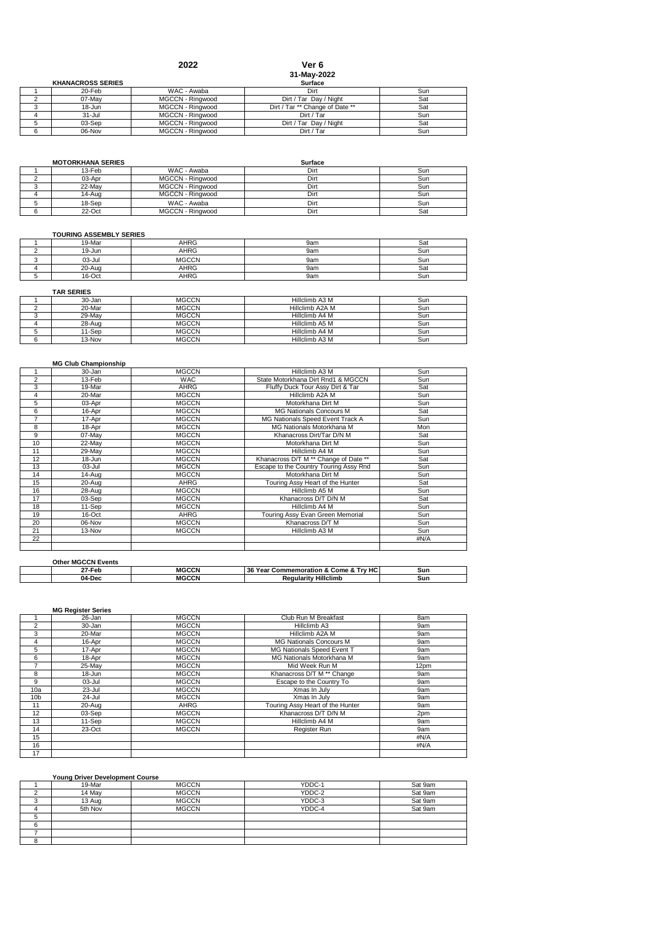|                          | 2022             | Ver 6                           |     |
|--------------------------|------------------|---------------------------------|-----|
|                          |                  | 31-May-2022                     |     |
| <b>KHANACROSS SERIES</b> |                  | Surface                         |     |
| 20-Feb                   | WAC - Awaba      | Dirt                            | Sun |
| 07-May                   | MGCCN - Ringwood | Dirt / Tar Day / Night          | Sat |
| 18-Jun                   | MGCCN - Ringwood | Dirt / Tar ** Change of Date ** | Sat |
| $31 -$ Jul               | MGCCN - Ringwood | Dirt / Tar                      | Sun |
| 03-Sep                   | MGCCN - Ringwood | Dirt / Tar Day / Night          | Sat |
| 06-Nov                   | MGCCN - Ringwood | Dirt / Tar                      | Sun |

| <b>MOTORKHANA SERIES</b> |                         | Surface |     |
|--------------------------|-------------------------|---------|-----|
| 13-Feb                   | WAC - Awaba             | Dirt    | Sun |
| 03-Apr                   | <b>MGCCN - Rinawood</b> | Dirt    | Sun |
| 22-May                   | MGCCN - Ringwood        | Dirt    | Sun |
| 14-Aug                   | <b>MGCCN - Rinawood</b> | Dirt    | Sun |
| 18-Sep                   | WAC - Awaba             | Dirt    | Sun |
| $22-Oct$                 | MGCCN - Ringwood        | Dirt    | Sat |

# **TOURING ASSEMBLY SERIES**

| 19-Mar | AHRG         | 9am | Sat |
|--------|--------------|-----|-----|
| 19-Jun | AHRG         | 9am | Sun |
| 03-Jul | <b>MGCCN</b> | 9am | Sun |
| 20-Aug | AHRG         | 9am | Sat |
| 16-Oct | AHRG         | 9am | Sun |

| 30-Jan | <b>MGCCN</b> | Hillclimb A3 M  | Sun |
|--------|--------------|-----------------|-----|
| 20-Mar | <b>MGCCN</b> | Hillclimb A2A M | Sun |
| 29-May | <b>MGCCN</b> | Hillclimb A4 M  | Sun |
| 28-Aug | <b>MGCCN</b> | Hillclimb A5 M  | Sun |
| '1-Sep | <b>MGCCN</b> | Hillclimb A4 M  | Sun |
| 13-Nov | <b>MGCCN</b> | Hillclimb A3 M  | Sun |

|                | <b>MG Club Championship</b> |              |                                        |            |
|----------------|-----------------------------|--------------|----------------------------------------|------------|
|                | 30-Jan                      | <b>MGCCN</b> | Hillclimb A3 M                         | Sun        |
| $\overline{2}$ | 13-Feb                      | <b>WAC</b>   | State Motorkhana Dirt Rnd1 & MGCCN     | Sun        |
| 3              | 19-Mar                      | <b>AHRG</b>  | Fluffy Duck Tour Assy Dirt & Tar       | Sat        |
| 4              | 20-Mar                      | <b>MGCCN</b> | Hillclimb A2A M                        | Sun        |
| 5              | 03-Apr                      | <b>MGCCN</b> | Motorkhana Dirt M                      | Sun        |
| 6              | 16-Apr                      | <b>MGCCN</b> | <b>MG Nationals Concours M</b>         | Sat        |
| $\overline{7}$ | 17-Apr                      | <b>MGCCN</b> | MG Nationals Speed Event Track A       | Sun        |
| 8              | 18-Apr                      | <b>MGCCN</b> | MG Nationals Motorkhana M              | Mon        |
| 9              | 07-May                      | <b>MGCCN</b> | Khanacross Dirt/Tar D/N M              | Sat        |
| 10             | 22-May                      | <b>MGCCN</b> | Motorkhana Dirt M                      | Sun        |
| 11             | 29-May                      | <b>MGCCN</b> | Hillclimb A4 M                         | Sun        |
| 12             | 18-Jun                      | <b>MGCCN</b> | Khanacross D/T M ** Change of Date **  | Sat        |
| 13             | $03 -$ Jul                  | <b>MGCCN</b> | Escape to the Country Touring Assy Rnd | Sun        |
| 14             | 14-Aug                      | <b>MGCCN</b> | Motorkhana Dirt M                      | Sun        |
| 15             | 20-Aug                      | AHRG         | Touring Assy Heart of the Hunter       | Sat        |
| 16             | 28-Aug                      | <b>MGCCN</b> | Hillclimb A5 M                         | Sun        |
| 17             | 03-Sep                      | <b>MGCCN</b> | Khanacross D/T D/N M                   | Sat        |
| 18             | 11-Sep                      | <b>MGCCN</b> | Hillclimb A4 M                         | Sun        |
| 19             | 16-Oct                      | AHRG         | Touring Assy Evan Green Memorial       | Sun        |
| 20             | $06-Nov$                    | <b>MGCCN</b> | Khanacross D/T M                       | Sun        |
| 21             | 13-Nov                      | <b>MGCCN</b> | Hillclimb A3 M                         | <b>Sun</b> |
| 22             |                             |              |                                        | #N/A       |
|                |                             |              |                                        |            |

| <b>Other MGCCN Events</b> |       |                                        |     |
|---------------------------|-------|----------------------------------------|-----|
| 27-Feb                    | MGCCN | 136 Year Commemoration & Come & Try HC | Sun |
| 04-Dec                    | MCCCN | <b>Requiarity Hillclimb</b>            | Sun |

## **MG Register Series**

|                 | 26-Jan   | <b>MGCCN</b> | Club Run M Breakfast<br>8am      |      |
|-----------------|----------|--------------|----------------------------------|------|
| 2               | 30-Jan   | <b>MGCCN</b> | Hillclimb A3                     | 9am  |
| 3               | 20-Mar   | <b>MGCCN</b> | Hillclimb A2A M                  | 9am  |
| 4               | 16-Apr   | <b>MGCCN</b> | MG Nationals Concours M          | 9am  |
| 5               | 17-Apr   | <b>MGCCN</b> | MG Nationals Speed Event T       | 9am  |
| 6               | 18-Apr   | <b>MGCCN</b> | MG Nationals Motorkhana M        | 9am  |
| 7               | 25-May   | <b>MGCCN</b> | Mid Week Run M                   | 12pm |
| 8               | 18-Jun   | <b>MGCCN</b> | Khanacross D/T M ** Change       | 9am  |
| 9               | 03-Jul   | <b>MGCCN</b> | Escape to the Country To         | 9am  |
| 10a             | 23-Jul   | <b>MGCCN</b> | Xmas In July                     | 9am  |
| 10 <sub>b</sub> | 24-Jul   | <b>MGCCN</b> | Xmas In July                     | 9am  |
| 11              | 20-Aug   | AHRG         | Touring Assy Heart of the Hunter | 9am  |
| 12              | 03-Sep   | <b>MGCCN</b> | Khanacross D/T D/N M             | 2pm  |
| 13              | 11-Sep   | <b>MGCCN</b> | Hillclimb A4 M                   | 9am  |
| 14              | $23-Oct$ | <b>MGCCN</b> | Register Run                     | 9am  |
| 15              |          |              |                                  | #N/A |
| 16              |          |              |                                  | #N/A |
| 17              |          |              |                                  |      |

# **Young Driver Development Course**

|   | 19-Mar  | <b>MGCCN</b> | YDDC-1 | Sat 9am |
|---|---------|--------------|--------|---------|
|   | 14 May  | <b>MGCCN</b> | YDDC-2 | Sat 9am |
| ີ | 13 Aug  | <b>MGCCN</b> | YDDC-3 | Sat 9am |
| 4 | 5th Nov | <b>MGCCN</b> | YDDC-4 | Sat 9am |
|   |         |              |        |         |
| 6 |         |              |        |         |
|   |         |              |        |         |
| o |         |              |        |         |